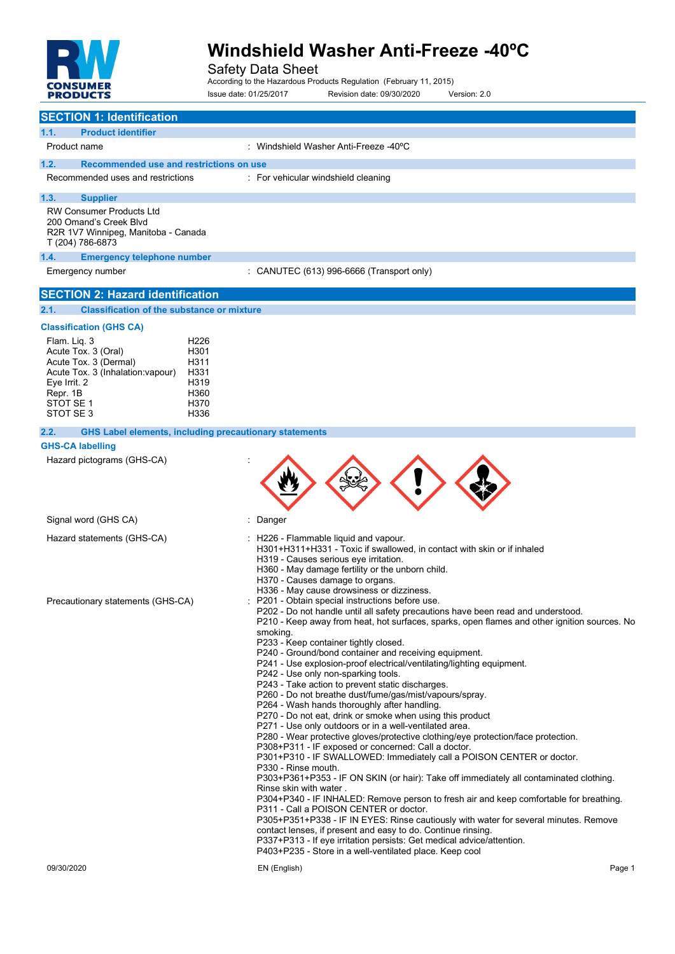

Safety Data Sheet According to the Hazardous Products Regulation (February 11, 2015) Issue date: 01/25/2017 Revision date: 09/30/2020 Version: 2.0

| <b>SECTION 1: Identification</b>                                                                                                                                                          |                                                                          |                                                                                                                                                                                                                                                                                                                                                                                                                                                                                                                                                                                                                                                                                                                                                                                                                                                                                                                                                                                                                                                                                                                                                                                                                                                                                                                                                                                                                                                                                                                                                       |
|-------------------------------------------------------------------------------------------------------------------------------------------------------------------------------------------|--------------------------------------------------------------------------|-------------------------------------------------------------------------------------------------------------------------------------------------------------------------------------------------------------------------------------------------------------------------------------------------------------------------------------------------------------------------------------------------------------------------------------------------------------------------------------------------------------------------------------------------------------------------------------------------------------------------------------------------------------------------------------------------------------------------------------------------------------------------------------------------------------------------------------------------------------------------------------------------------------------------------------------------------------------------------------------------------------------------------------------------------------------------------------------------------------------------------------------------------------------------------------------------------------------------------------------------------------------------------------------------------------------------------------------------------------------------------------------------------------------------------------------------------------------------------------------------------------------------------------------------------|
| 1.1.<br><b>Product identifier</b>                                                                                                                                                         |                                                                          |                                                                                                                                                                                                                                                                                                                                                                                                                                                                                                                                                                                                                                                                                                                                                                                                                                                                                                                                                                                                                                                                                                                                                                                                                                                                                                                                                                                                                                                                                                                                                       |
| Product name                                                                                                                                                                              |                                                                          | : Windshield Washer Anti-Freeze -40°C                                                                                                                                                                                                                                                                                                                                                                                                                                                                                                                                                                                                                                                                                                                                                                                                                                                                                                                                                                                                                                                                                                                                                                                                                                                                                                                                                                                                                                                                                                                 |
| 1.2.<br>Recommended use and restrictions on use                                                                                                                                           |                                                                          |                                                                                                                                                                                                                                                                                                                                                                                                                                                                                                                                                                                                                                                                                                                                                                                                                                                                                                                                                                                                                                                                                                                                                                                                                                                                                                                                                                                                                                                                                                                                                       |
| Recommended uses and restrictions                                                                                                                                                         |                                                                          | : For vehicular windshield cleaning                                                                                                                                                                                                                                                                                                                                                                                                                                                                                                                                                                                                                                                                                                                                                                                                                                                                                                                                                                                                                                                                                                                                                                                                                                                                                                                                                                                                                                                                                                                   |
| 1.3.<br><b>Supplier</b>                                                                                                                                                                   |                                                                          |                                                                                                                                                                                                                                                                                                                                                                                                                                                                                                                                                                                                                                                                                                                                                                                                                                                                                                                                                                                                                                                                                                                                                                                                                                                                                                                                                                                                                                                                                                                                                       |
| <b>RW Consumer Products Ltd</b><br>200 Omand's Creek Blvd<br>R2R 1V7 Winnipeg, Manitoba - Canada<br>T (204) 786-6873                                                                      |                                                                          |                                                                                                                                                                                                                                                                                                                                                                                                                                                                                                                                                                                                                                                                                                                                                                                                                                                                                                                                                                                                                                                                                                                                                                                                                                                                                                                                                                                                                                                                                                                                                       |
| 1.4.<br><b>Emergency telephone number</b>                                                                                                                                                 |                                                                          |                                                                                                                                                                                                                                                                                                                                                                                                                                                                                                                                                                                                                                                                                                                                                                                                                                                                                                                                                                                                                                                                                                                                                                                                                                                                                                                                                                                                                                                                                                                                                       |
| Emergency number                                                                                                                                                                          |                                                                          | : CANUTEC (613) 996-6666 (Transport only)                                                                                                                                                                                                                                                                                                                                                                                                                                                                                                                                                                                                                                                                                                                                                                                                                                                                                                                                                                                                                                                                                                                                                                                                                                                                                                                                                                                                                                                                                                             |
| <b>SECTION 2: Hazard identification</b>                                                                                                                                                   |                                                                          |                                                                                                                                                                                                                                                                                                                                                                                                                                                                                                                                                                                                                                                                                                                                                                                                                                                                                                                                                                                                                                                                                                                                                                                                                                                                                                                                                                                                                                                                                                                                                       |
| 2.1.<br><b>Classification of the substance or mixture</b>                                                                                                                                 |                                                                          |                                                                                                                                                                                                                                                                                                                                                                                                                                                                                                                                                                                                                                                                                                                                                                                                                                                                                                                                                                                                                                                                                                                                                                                                                                                                                                                                                                                                                                                                                                                                                       |
| <b>Classification (GHS CA)</b><br>Flam. Liq. 3<br>Acute Tox. 3 (Oral)<br>Acute Tox. 3 (Dermal)<br>Acute Tox. 3 (Inhalation: vapour)<br>Eye Irrit. 2<br>Repr. 1B<br>STOT SE 1<br>STOT SE 3 | H <sub>226</sub><br>H301<br>H311<br>H331<br>H319<br>H360<br>H370<br>H336 |                                                                                                                                                                                                                                                                                                                                                                                                                                                                                                                                                                                                                                                                                                                                                                                                                                                                                                                                                                                                                                                                                                                                                                                                                                                                                                                                                                                                                                                                                                                                                       |
| <b>GHS Label elements, including precautionary statements</b><br>2.2.                                                                                                                     |                                                                          |                                                                                                                                                                                                                                                                                                                                                                                                                                                                                                                                                                                                                                                                                                                                                                                                                                                                                                                                                                                                                                                                                                                                                                                                                                                                                                                                                                                                                                                                                                                                                       |
| <b>GHS-CA labelling</b>                                                                                                                                                                   |                                                                          |                                                                                                                                                                                                                                                                                                                                                                                                                                                                                                                                                                                                                                                                                                                                                                                                                                                                                                                                                                                                                                                                                                                                                                                                                                                                                                                                                                                                                                                                                                                                                       |
| Hazard pictograms (GHS-CA)                                                                                                                                                                |                                                                          |                                                                                                                                                                                                                                                                                                                                                                                                                                                                                                                                                                                                                                                                                                                                                                                                                                                                                                                                                                                                                                                                                                                                                                                                                                                                                                                                                                                                                                                                                                                                                       |
| Signal word (GHS CA)                                                                                                                                                                      |                                                                          | Danger                                                                                                                                                                                                                                                                                                                                                                                                                                                                                                                                                                                                                                                                                                                                                                                                                                                                                                                                                                                                                                                                                                                                                                                                                                                                                                                                                                                                                                                                                                                                                |
| Hazard statements (GHS-CA)                                                                                                                                                                |                                                                          | : H226 - Flammable liquid and vapour.<br>H301+H311+H331 - Toxic if swallowed, in contact with skin or if inhaled<br>H319 - Causes serious eye irritation.<br>H360 - May damage fertility or the unborn child.<br>H370 - Causes damage to organs.<br>H336 - May cause drowsiness or dizziness.                                                                                                                                                                                                                                                                                                                                                                                                                                                                                                                                                                                                                                                                                                                                                                                                                                                                                                                                                                                                                                                                                                                                                                                                                                                         |
| Precautionary statements (GHS-CA)                                                                                                                                                         |                                                                          | P201 - Obtain special instructions before use.<br>P202 - Do not handle until all safety precautions have been read and understood<br>P210 - Keep away from heat, hot surfaces, sparks, open flames and other ignition sources. No<br>smoking.<br>P233 - Keep container tightly closed.<br>P240 - Ground/bond container and receiving equipment.<br>P241 - Use explosion-proof electrical/ventilating/lighting equipment.<br>P242 - Use only non-sparking tools.<br>P243 - Take action to prevent static discharges.<br>P260 - Do not breathe dust/fume/gas/mist/vapours/spray.<br>P264 - Wash hands thoroughly after handling.<br>P270 - Do not eat, drink or smoke when using this product<br>P271 - Use only outdoors or in a well-ventilated area.<br>P280 - Wear protective gloves/protective clothing/eye protection/face protection.<br>P308+P311 - IF exposed or concerned: Call a doctor.<br>P301+P310 - IF SWALLOWED: Immediately call a POISON CENTER or doctor.<br>P330 - Rinse mouth.<br>P303+P361+P353 - IF ON SKIN (or hair): Take off immediately all contaminated clothing.<br>Rinse skin with water.<br>P304+P340 - IF INHALED: Remove person to fresh air and keep comfortable for breathing.<br>P311 - Call a POISON CENTER or doctor.<br>P305+P351+P338 - IF IN EYES: Rinse cautiously with water for several minutes. Remove<br>contact lenses, if present and easy to do. Continue rinsing.<br>P337+P313 - If eye irritation persists: Get medical advice/attention.<br>P403+P235 - Store in a well-ventilated place. Keep cool |
| 09/30/2020                                                                                                                                                                                |                                                                          | EN (English)<br>Page 1                                                                                                                                                                                                                                                                                                                                                                                                                                                                                                                                                                                                                                                                                                                                                                                                                                                                                                                                                                                                                                                                                                                                                                                                                                                                                                                                                                                                                                                                                                                                |
|                                                                                                                                                                                           |                                                                          |                                                                                                                                                                                                                                                                                                                                                                                                                                                                                                                                                                                                                                                                                                                                                                                                                                                                                                                                                                                                                                                                                                                                                                                                                                                                                                                                                                                                                                                                                                                                                       |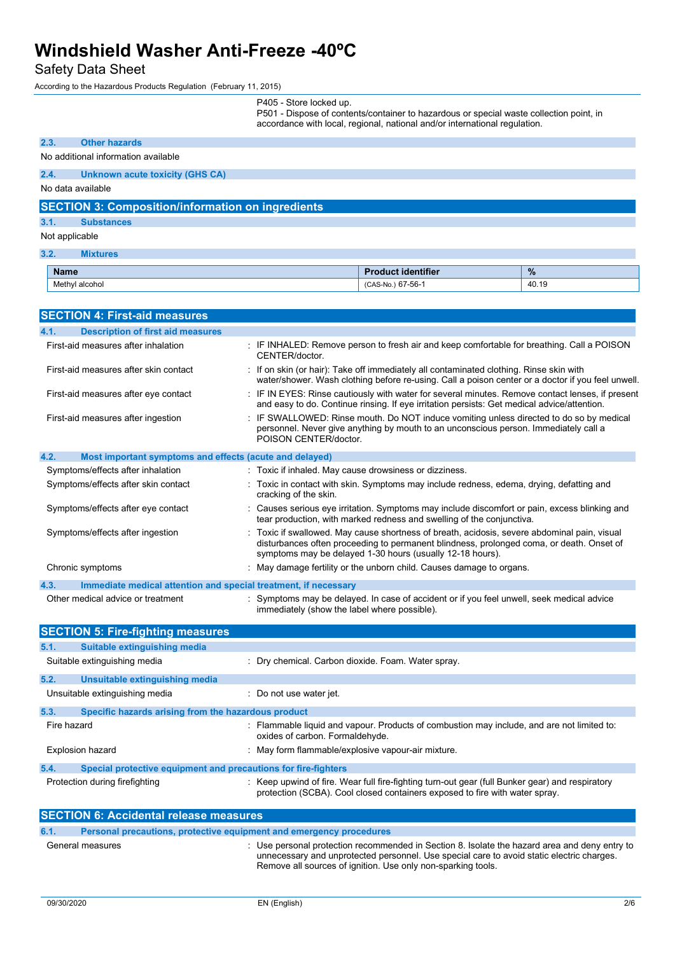## Safety Data Sheet

According to the Hazardous Products Regulation (February 11, 2015)

| P405 - Store locked up. |  |  |
|-------------------------|--|--|
|                         |  |  |

P501 - Dispose of contents/container to hazardous or special waste collection point, in

|             |                                                                 |                                                        | accordance with local, regional, national and/or international regulation.                                                                                                                                                                          |       |
|-------------|-----------------------------------------------------------------|--------------------------------------------------------|-----------------------------------------------------------------------------------------------------------------------------------------------------------------------------------------------------------------------------------------------------|-------|
| 2.3.        | <b>Other hazards</b>                                            |                                                        |                                                                                                                                                                                                                                                     |       |
|             | No additional information available                             |                                                        |                                                                                                                                                                                                                                                     |       |
| 2.4.        | <b>Unknown acute toxicity (GHS CA)</b>                          |                                                        |                                                                                                                                                                                                                                                     |       |
|             | No data available                                               |                                                        |                                                                                                                                                                                                                                                     |       |
|             | <b>SECTION 3: Composition/information on ingredients</b>        |                                                        |                                                                                                                                                                                                                                                     |       |
| 3.1.        | <b>Substances</b>                                               |                                                        |                                                                                                                                                                                                                                                     |       |
|             | Not applicable                                                  |                                                        |                                                                                                                                                                                                                                                     |       |
| 3.2.        | <b>Mixtures</b>                                                 |                                                        |                                                                                                                                                                                                                                                     |       |
| <b>Name</b> |                                                                 |                                                        | <b>Product identifier</b>                                                                                                                                                                                                                           | %     |
|             | Methyl alcohol                                                  |                                                        | (CAS-No.) 67-56-1                                                                                                                                                                                                                                   | 40.19 |
|             |                                                                 |                                                        |                                                                                                                                                                                                                                                     |       |
|             | <b>SECTION 4: First-aid measures</b>                            |                                                        |                                                                                                                                                                                                                                                     |       |
| 4.1.        | <b>Description of first aid measures</b>                        |                                                        |                                                                                                                                                                                                                                                     |       |
|             | First-aid measures after inhalation                             | CENTER/doctor.                                         | : IF INHALED: Remove person to fresh air and keep comfortable for breathing. Call a POISON                                                                                                                                                          |       |
|             | First-aid measures after skin contact                           |                                                        | : If on skin (or hair): Take off immediately all contaminated clothing. Rinse skin with<br>water/shower. Wash clothing before re-using. Call a poison center or a doctor if you feel unwell.                                                        |       |
|             | First-aid measures after eye contact                            |                                                        | : IF IN EYES: Rinse cautiously with water for several minutes. Remove contact lenses, if present<br>and easy to do. Continue rinsing. If eye irritation persists: Get medical advice/attention.                                                     |       |
|             | First-aid measures after ingestion                              | POISON CENTER/doctor.                                  | : IF SWALLOWED: Rinse mouth. Do NOT induce vomiting unless directed to do so by medical<br>personnel. Never give anything by mouth to an unconscious person. Immediately call a                                                                     |       |
| 4.2.        | Most important symptoms and effects (acute and delayed)         |                                                        |                                                                                                                                                                                                                                                     |       |
|             | Symptoms/effects after inhalation                               | : Toxic if inhaled. May cause drowsiness or dizziness. |                                                                                                                                                                                                                                                     |       |
|             | Symptoms/effects after skin contact                             | cracking of the skin.                                  | : Toxic in contact with skin. Symptoms may include redness, edema, drying, defatting and                                                                                                                                                            |       |
|             | Symptoms/effects after eye contact                              |                                                        | : Causes serious eye irritation. Symptoms may include discomfort or pain, excess blinking and<br>tear production, with marked redness and swelling of the conjunctiva.                                                                              |       |
|             | Symptoms/effects after ingestion                                |                                                        | Toxic if swallowed. May cause shortness of breath, acidosis, severe abdominal pain, visual<br>disturbances often proceeding to permanent blindness, prolonged coma, or death. Onset of<br>symptoms may be delayed 1-30 hours (usually 12-18 hours). |       |
|             | Chronic symptoms                                                |                                                        | : May damage fertility or the unborn child. Causes damage to organs.                                                                                                                                                                                |       |
| 4.3.        | Immediate medical attention and special treatment, if necessary |                                                        |                                                                                                                                                                                                                                                     |       |
|             | Other medical advice or treatment                               | immediately (show the label where possible).           | Symptoms may be delayed. In case of accident or if you feel unwell, seek medical advice                                                                                                                                                             |       |
|             | <b>SECTION 5: Fire-fighting measures</b>                        |                                                        |                                                                                                                                                                                                                                                     |       |
| 5.1.        | <b>Suitable extinguishing media</b>                             |                                                        |                                                                                                                                                                                                                                                     |       |
|             | Suitable extinguishing media                                    | : Dry chemical. Carbon dioxide. Foam. Water spray.     |                                                                                                                                                                                                                                                     |       |
| 5.2.        | Unsuitable extinguishing media                                  |                                                        |                                                                                                                                                                                                                                                     |       |
|             | Unsuitable extinguishing media                                  | Do not use water jet.                                  |                                                                                                                                                                                                                                                     |       |
| 5.3.        | Specific hazards arising from the hazardous product             |                                                        |                                                                                                                                                                                                                                                     |       |
|             | Fire hazard                                                     | oxides of carbon. Formaldehyde.                        | : Flammable liquid and vapour. Products of combustion may include, and are not limited to:                                                                                                                                                          |       |
|             | <b>Explosion hazard</b>                                         | : May form flammable/explosive vapour-air mixture.     |                                                                                                                                                                                                                                                     |       |
| 5.4.        | Special protective equipment and precautions for fire-fighters  |                                                        |                                                                                                                                                                                                                                                     |       |
|             | Protection during firefighting                                  |                                                        | Keep upwind of fire. Wear full fire-fighting turn-out gear (full Bunker gear) and respiratory<br>protection (SCBA). Cool closed containers exposed to fire with water spray.                                                                        |       |
|             | SECTION 6: Accidental release measures                          |                                                        |                                                                                                                                                                                                                                                     |       |

|      | <u>sevinyn yi Avviavinai ivivavv ilivaval vy</u> |                                                                                                                                                                                                                                                            |  |  |
|------|--------------------------------------------------|------------------------------------------------------------------------------------------------------------------------------------------------------------------------------------------------------------------------------------------------------------|--|--|
| 6.1. |                                                  | Personal precautions, protective equipment and emergency procedures                                                                                                                                                                                        |  |  |
|      | General measures                                 | : Use personal protection recommended in Section 8. Isolate the hazard area and deny entry to<br>unnecessary and unprotected personnel. Use special care to avoid static electric charges.<br>Remove all sources of ignition. Use only non-sparking tools. |  |  |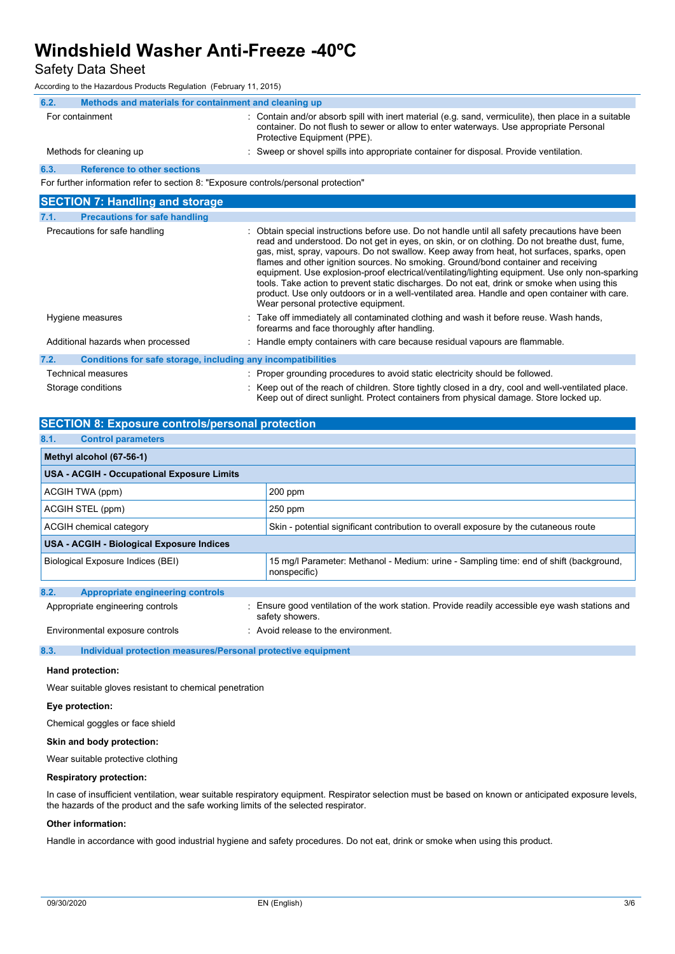### Safety Data Sheet

According to the Hazardous Products Regulation (February 11, 2015)

| TCCON UT U TO THE FREE UP OUR THOUGHS THE QUIRING THE CONDITION TO THE COLLOT       |                                                                                                                                                                                                                                                                                                                                                                                                                                                                                                                                                                                                                                                                                                                              |  |  |
|-------------------------------------------------------------------------------------|------------------------------------------------------------------------------------------------------------------------------------------------------------------------------------------------------------------------------------------------------------------------------------------------------------------------------------------------------------------------------------------------------------------------------------------------------------------------------------------------------------------------------------------------------------------------------------------------------------------------------------------------------------------------------------------------------------------------------|--|--|
| Methods and materials for containment and cleaning up<br>6.2.                       |                                                                                                                                                                                                                                                                                                                                                                                                                                                                                                                                                                                                                                                                                                                              |  |  |
| For containment                                                                     | : Contain and/or absorb spill with inert material (e.g. sand, vermiculite), then place in a suitable<br>container. Do not flush to sewer or allow to enter waterways. Use appropriate Personal<br>Protective Equipment (PPE).                                                                                                                                                                                                                                                                                                                                                                                                                                                                                                |  |  |
| Methods for cleaning up                                                             | : Sweep or shovel spills into appropriate container for disposal. Provide ventilation.                                                                                                                                                                                                                                                                                                                                                                                                                                                                                                                                                                                                                                       |  |  |
| 6.3.<br><b>Reference to other sections</b>                                          |                                                                                                                                                                                                                                                                                                                                                                                                                                                                                                                                                                                                                                                                                                                              |  |  |
| For further information refer to section 8: "Exposure controls/personal protection" |                                                                                                                                                                                                                                                                                                                                                                                                                                                                                                                                                                                                                                                                                                                              |  |  |
| <b>SECTION 7: Handling and storage</b>                                              |                                                                                                                                                                                                                                                                                                                                                                                                                                                                                                                                                                                                                                                                                                                              |  |  |
| 7.1.<br><b>Precautions for safe handling</b>                                        |                                                                                                                                                                                                                                                                                                                                                                                                                                                                                                                                                                                                                                                                                                                              |  |  |
| Precautions for safe handling                                                       | : Obtain special instructions before use. Do not handle until all safety precautions have been<br>read and understood. Do not get in eyes, on skin, or on clothing. Do not breathe dust, fume,<br>gas, mist, spray, vapours. Do not swallow. Keep away from heat, hot surfaces, sparks, open<br>flames and other ignition sources. No smoking. Ground/bond container and receiving<br>equipment. Use explosion-proof electrical/ventilating/lighting equipment. Use only non-sparking<br>tools. Take action to prevent static discharges. Do not eat, drink or smoke when using this<br>product. Use only outdoors or in a well-ventilated area. Handle and open container with care.<br>Wear personal protective equipment. |  |  |
| Hygiene measures                                                                    | : Take off immediately all contaminated clothing and wash it before reuse. Wash hands,<br>forearms and face thoroughly after handling.                                                                                                                                                                                                                                                                                                                                                                                                                                                                                                                                                                                       |  |  |
| Additional hazards when processed                                                   | : Handle empty containers with care because residual vapours are flammable.                                                                                                                                                                                                                                                                                                                                                                                                                                                                                                                                                                                                                                                  |  |  |

| 7.2. | Conditions for safe storage, including any incompatibilities |                                                                                                     |
|------|--------------------------------------------------------------|-----------------------------------------------------------------------------------------------------|
|      | Technical measures                                           | : Proper grounding procedures to avoid static electricity should be followed.                       |
|      | Storage conditions                                           | : Keep out of the reach of children. Store tightly closed in a dry, cool and well-ventilated place. |

Keep out of direct sunlight. Protect containers from physical damage. Store locked up.

| <b>SECTION 8: Exposure controls/personal protection</b> |                                                                                                                    |  |  |  |  |
|---------------------------------------------------------|--------------------------------------------------------------------------------------------------------------------|--|--|--|--|
| 8.1.<br><b>Control parameters</b>                       |                                                                                                                    |  |  |  |  |
| Methyl alcohol (67-56-1)                                |                                                                                                                    |  |  |  |  |
| <b>USA - ACGIH - Occupational Exposure Limits</b>       |                                                                                                                    |  |  |  |  |
| ACGIH TWA (ppm)                                         | 200 ppm                                                                                                            |  |  |  |  |
| ACGIH STEL (ppm)                                        | $250$ ppm                                                                                                          |  |  |  |  |
| ACGIH chemical category                                 | Skin - potential significant contribution to overall exposure by the cutaneous route                               |  |  |  |  |
| USA - ACGIH - Biological Exposure Indices               |                                                                                                                    |  |  |  |  |
| Biological Exposure Indices (BEI)                       | 15 mg/l Parameter: Methanol - Medium: urine - Sampling time: end of shift (background,<br>nonspecific)             |  |  |  |  |
| 8.2.<br><b>Appropriate engineering controls</b>         |                                                                                                                    |  |  |  |  |
| Appropriate engineering controls                        | : Ensure good ventilation of the work station. Provide readily accessible eye wash stations and<br>safety showers. |  |  |  |  |
| Environmental exposure controls                         | : Avoid release to the environment.                                                                                |  |  |  |  |

**8.3. Individual protection measures/Personal protective equipment**

### **Hand protection:**

Wear suitable gloves resistant to chemical penetration

### **Eye protection:**

Chemical goggles or face shield

### **Skin and body protection:**

Wear suitable protective clothing

#### **Respiratory protection:**

In case of insufficient ventilation, wear suitable respiratory equipment. Respirator selection must be based on known or anticipated exposure levels, the hazards of the product and the safe working limits of the selected respirator.

### **Other information:**

Handle in accordance with good industrial hygiene and safety procedures. Do not eat, drink or smoke when using this product.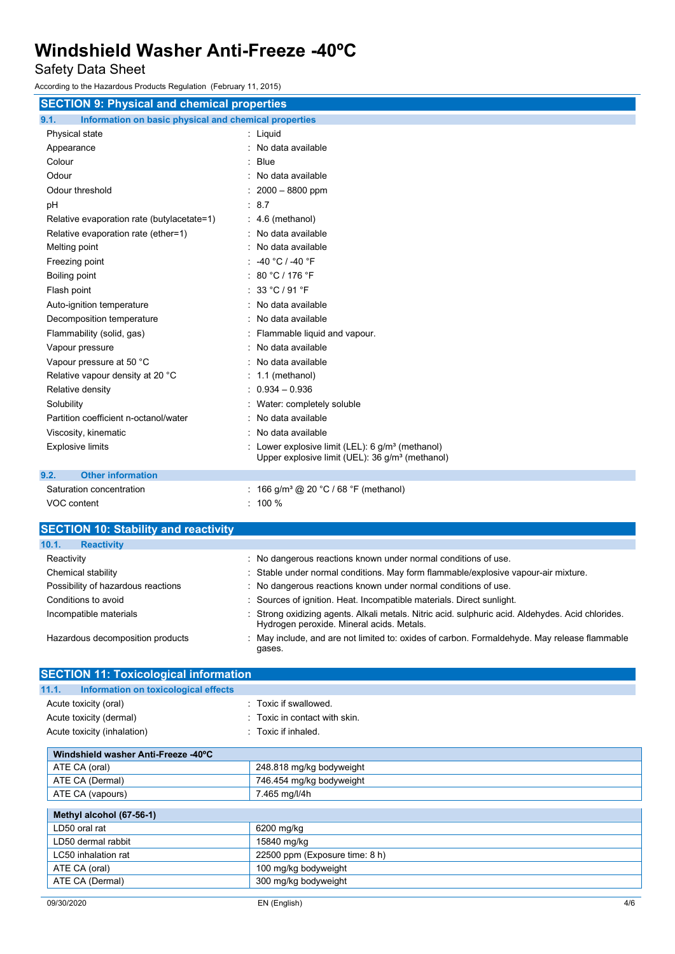Safety Data Sheet

According to the Hazardous Products Regulation (February 11, 2015)

| <b>SECTION 9: Physical and chemical properties</b>            |                                                                                                                             |  |  |
|---------------------------------------------------------------|-----------------------------------------------------------------------------------------------------------------------------|--|--|
| 9.1.<br>Information on basic physical and chemical properties |                                                                                                                             |  |  |
| Physical state                                                | : Liquid                                                                                                                    |  |  |
| Appearance                                                    | No data available                                                                                                           |  |  |
| Colour                                                        | Blue<br>٠                                                                                                                   |  |  |
| Odour                                                         | No data available                                                                                                           |  |  |
| Odour threshold                                               | $2000 - 8800$ ppm                                                                                                           |  |  |
| pH                                                            | : 8.7                                                                                                                       |  |  |
| Relative evaporation rate (butylacetate=1)                    | 4.6 (methanol)                                                                                                              |  |  |
| Relative evaporation rate (ether=1)                           | No data available                                                                                                           |  |  |
| Melting point                                                 | No data available                                                                                                           |  |  |
| Freezing point                                                | -40 °C / -40 °F                                                                                                             |  |  |
| Boiling point                                                 | 80 °C / 176 °F                                                                                                              |  |  |
| Flash point                                                   | 33 °C / 91 °F                                                                                                               |  |  |
| Auto-ignition temperature                                     | No data available                                                                                                           |  |  |
| Decomposition temperature                                     | No data available                                                                                                           |  |  |
| Flammability (solid, gas)                                     | Flammable liquid and vapour.                                                                                                |  |  |
| Vapour pressure                                               | No data available                                                                                                           |  |  |
| Vapour pressure at 50 °C                                      | No data available                                                                                                           |  |  |
| Relative vapour density at 20 °C                              | 1.1 (methanol)                                                                                                              |  |  |
| Relative density                                              | $0.934 - 0.936$                                                                                                             |  |  |
| Solubility                                                    | Water: completely soluble                                                                                                   |  |  |
| Partition coefficient n-octanol/water                         | No data available                                                                                                           |  |  |
| Viscosity, kinematic                                          | No data available                                                                                                           |  |  |
| <b>Explosive limits</b>                                       | Lower explosive limit (LEL): $6$ g/m <sup>3</sup> (methanol)<br>Upper explosive limit (UEL): 36 g/m <sup>3</sup> (methanol) |  |  |
| <b>Other information</b><br>9.2.                              |                                                                                                                             |  |  |
| Saturation concentration                                      | : 166 g/m <sup>3</sup> @ 20 °C / 68 °F (methanol)                                                                           |  |  |

VOC content : 100 %

| <b>SECTION 10: Stability and reactivity</b> |                                                                                                                                                |
|---------------------------------------------|------------------------------------------------------------------------------------------------------------------------------------------------|
| <b>Reactivity</b><br>10.1.                  |                                                                                                                                                |
| Reactivity                                  | : No dangerous reactions known under normal conditions of use.                                                                                 |
| Chemical stability                          | : Stable under normal conditions. May form flammable/explosive vapour-air mixture.                                                             |
| Possibility of hazardous reactions          | : No dangerous reactions known under normal conditions of use.                                                                                 |
| Conditions to avoid                         | : Sources of ignition. Heat. Incompatible materials. Direct sunlight.                                                                          |
| Incompatible materials                      | : Strong oxidizing agents. Alkali metals. Nitric acid. sulphuric acid. Aldehydes. Acid chlorides.<br>Hydrogen peroxide. Mineral acids. Metals. |
| Hazardous decomposition products            | : May include, and are not limited to: oxides of carbon. Formaldehyde. May release flammable<br>gases.                                         |

| <b>SECTION 11: Toxicological information</b>  |                                |  |  |
|-----------------------------------------------|--------------------------------|--|--|
| Information on toxicological effects<br>11.1. |                                |  |  |
| Acute toxicity (oral)                         | : Toxic if swallowed.          |  |  |
| Acute toxicity (dermal)                       | : Toxic in contact with skin.  |  |  |
| Acute toxicity (inhalation)                   | : Toxic if inhaled.            |  |  |
| Windshield washer Anti-Freeze -40°C           |                                |  |  |
| ATE CA (oral)                                 | 248.818 mg/kg bodyweight       |  |  |
| ATE CA (Dermal)                               | 746.454 mg/kg bodyweight       |  |  |
| ATE CA (vapours)                              | 7.465 mg/l/4h                  |  |  |
| Methyl alcohol (67-56-1)                      |                                |  |  |
| LD50 oral rat                                 | 6200 mg/kg                     |  |  |
| LD50 dermal rabbit                            | 15840 mg/kg                    |  |  |
| LC50 inhalation rat                           | 22500 ppm (Exposure time: 8 h) |  |  |
| ATE CA (oral)                                 | 100 mg/kg bodyweight           |  |  |
| ATE CA (Dermal)                               | 300 mg/kg bodyweight           |  |  |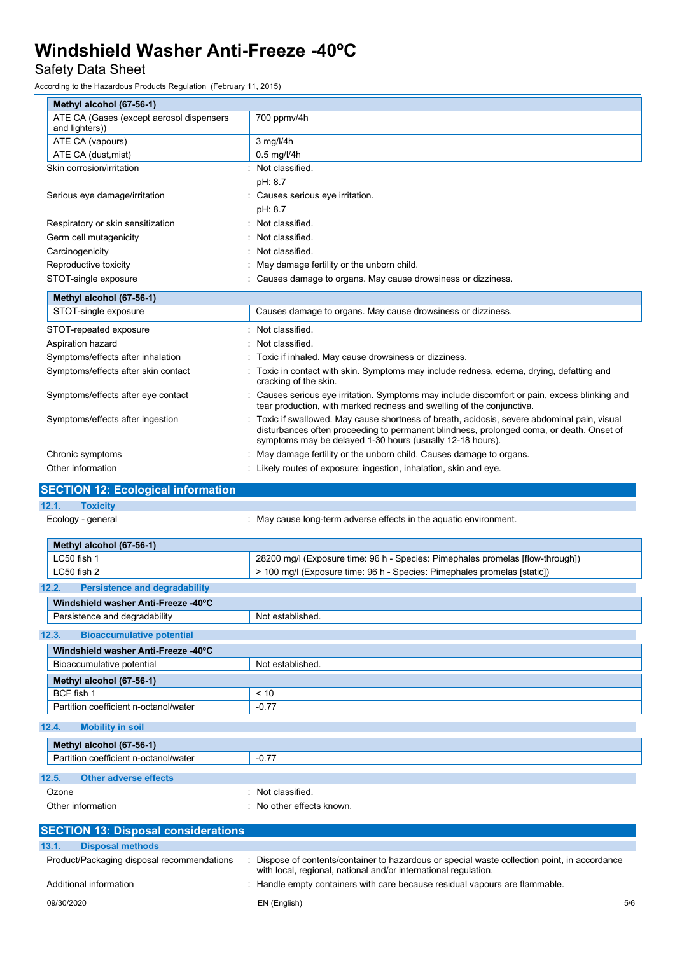## Safety Data Sheet

According to the Hazardous Products Regulation (February 11, 2015)

| ccording to the Hazardous Products Regulation. (February 11, 2015) |                                                                                                                                                                                                                                                     |
|--------------------------------------------------------------------|-----------------------------------------------------------------------------------------------------------------------------------------------------------------------------------------------------------------------------------------------------|
| Methyl alcohol (67-56-1)                                           |                                                                                                                                                                                                                                                     |
| ATE CA (Gases (except aerosol dispensers<br>and lighters))         | 700 ppmv/4h                                                                                                                                                                                                                                         |
| ATE CA (vapours)                                                   | $3$ mg/l/4h                                                                                                                                                                                                                                         |
| ATE CA (dust, mist)                                                | $0.5$ mg/l/4h                                                                                                                                                                                                                                       |
| Skin corrosion/irritation                                          | : Not classified.                                                                                                                                                                                                                                   |
|                                                                    | pH: 8.7                                                                                                                                                                                                                                             |
| Serious eye damage/irritation                                      | Causes serious eye irritation.                                                                                                                                                                                                                      |
| Respiratory or skin sensitization                                  | pH: 8.7<br>Not classified.                                                                                                                                                                                                                          |
| Germ cell mutagenicity                                             | Not classified.                                                                                                                                                                                                                                     |
| Carcinogenicity                                                    | Not classified.                                                                                                                                                                                                                                     |
| Reproductive toxicity                                              | May damage fertility or the unborn child.                                                                                                                                                                                                           |
| STOT-single exposure                                               | Causes damage to organs. May cause drowsiness or dizziness.                                                                                                                                                                                         |
|                                                                    |                                                                                                                                                                                                                                                     |
| Methyl alcohol (67-56-1)<br>STOT-single exposure                   | Causes damage to organs. May cause drowsiness or dizziness.                                                                                                                                                                                         |
|                                                                    |                                                                                                                                                                                                                                                     |
| STOT-repeated exposure                                             | Not classified.                                                                                                                                                                                                                                     |
| Aspiration hazard                                                  | Not classified.                                                                                                                                                                                                                                     |
| Symptoms/effects after inhalation                                  | Toxic if inhaled. May cause drowsiness or dizziness.                                                                                                                                                                                                |
| Symptoms/effects after skin contact                                | Toxic in contact with skin. Symptoms may include redness, edema, drying, defatting and<br>cracking of the skin.                                                                                                                                     |
| Symptoms/effects after eye contact                                 | Causes serious eye irritation. Symptoms may include discomfort or pain, excess blinking and<br>tear production, with marked redness and swelling of the conjunctiva.                                                                                |
| Symptoms/effects after ingestion                                   | Toxic if swallowed. May cause shortness of breath, acidosis, severe abdominal pain, visual<br>disturbances often proceeding to permanent blindness, prolonged coma, or death. Onset of<br>symptoms may be delayed 1-30 hours (usually 12-18 hours). |
| Chronic symptoms                                                   | May damage fertility or the unborn child. Causes damage to organs.                                                                                                                                                                                  |
| Other information                                                  | Likely routes of exposure: ingestion, inhalation, skin and eye.                                                                                                                                                                                     |
| <b>SECTION 12: Ecological information</b>                          |                                                                                                                                                                                                                                                     |
| 12.1.<br><b>Toxicity</b>                                           |                                                                                                                                                                                                                                                     |
| Ecology - general                                                  | May cause long-term adverse effects in the aquatic environment.                                                                                                                                                                                     |
| Methyl alcohol (67-56-1)                                           |                                                                                                                                                                                                                                                     |
| LC50 fish 1                                                        | 28200 mg/l (Exposure time: 96 h - Species: Pimephales promelas [flow-through])                                                                                                                                                                      |
| LC50 fish 2                                                        | > 100 mg/l (Exposure time: 96 h - Species: Pimephales promelas [static])                                                                                                                                                                            |
| 12.2.<br><b>Persistence and degradability</b>                      |                                                                                                                                                                                                                                                     |
| Windshield washer Anti-Freeze -40°C                                |                                                                                                                                                                                                                                                     |
| Persistence and degradability                                      | Not established.                                                                                                                                                                                                                                    |
| 12.3.<br><b>Bioaccumulative potential</b>                          |                                                                                                                                                                                                                                                     |
| Windshield washer Anti-Freeze -40°C                                |                                                                                                                                                                                                                                                     |
| Bioaccumulative potential                                          | Not established.                                                                                                                                                                                                                                    |
| Methyl alcohol (67-56-1)                                           |                                                                                                                                                                                                                                                     |
| BCF fish 1                                                         | < 10                                                                                                                                                                                                                                                |
| Partition coefficient n-octanol/water                              | $-0.77$                                                                                                                                                                                                                                             |
| 12.4.<br><b>Mobility in soil</b>                                   |                                                                                                                                                                                                                                                     |
| Methyl alcohol (67-56-1)                                           |                                                                                                                                                                                                                                                     |
| Partition coefficient n-octanol/water                              | $-0.77$                                                                                                                                                                                                                                             |
|                                                                    |                                                                                                                                                                                                                                                     |
| 12.5.<br><b>Other adverse effects</b>                              |                                                                                                                                                                                                                                                     |
| Ozone                                                              | Not classified.                                                                                                                                                                                                                                     |
| Other information                                                  | No other effects known.                                                                                                                                                                                                                             |
| <b>SECTION 13: Disposal considerations</b>                         |                                                                                                                                                                                                                                                     |
| 13.1.<br><b>Disposal methods</b>                                   |                                                                                                                                                                                                                                                     |

| 13.1. | <b>Disposal methods</b>                    |                                                                                                                                                                |     |
|-------|--------------------------------------------|----------------------------------------------------------------------------------------------------------------------------------------------------------------|-----|
|       | Product/Packaging disposal recommendations | Dispose of contents/container to hazardous or special waste collection point, in accordance<br>with local, regional, national and/or international regulation. |     |
|       | Additional information                     | Handle empty containers with care because residual vapours are flammable.                                                                                      |     |
|       | 09/30/2020                                 | EN (English)                                                                                                                                                   | 5/6 |